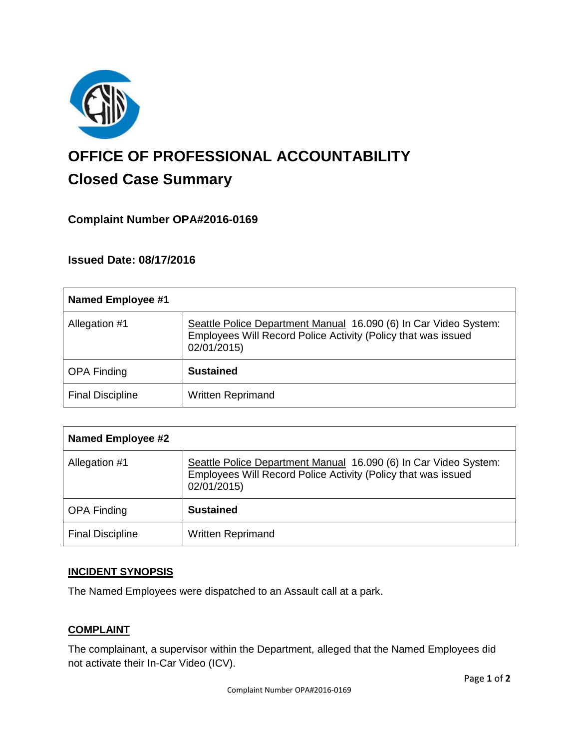

# **OFFICE OF PROFESSIONAL ACCOUNTABILITY Closed Case Summary**

## **Complaint Number OPA#2016-0169**

**Issued Date: 08/17/2016**

| Named Employee #1       |                                                                                                                                                  |
|-------------------------|--------------------------------------------------------------------------------------------------------------------------------------------------|
| Allegation #1           | Seattle Police Department Manual 16.090 (6) In Car Video System:<br>Employees Will Record Police Activity (Policy that was issued<br>02/01/2015) |
| <b>OPA Finding</b>      | <b>Sustained</b>                                                                                                                                 |
| <b>Final Discipline</b> | <b>Written Reprimand</b>                                                                                                                         |

| <b>Named Employee #2</b> |                                                                                                                                                  |
|--------------------------|--------------------------------------------------------------------------------------------------------------------------------------------------|
| Allegation #1            | Seattle Police Department Manual 16.090 (6) In Car Video System:<br>Employees Will Record Police Activity (Policy that was issued<br>02/01/2015) |
| <b>OPA Finding</b>       | <b>Sustained</b>                                                                                                                                 |
| <b>Final Discipline</b>  | <b>Written Reprimand</b>                                                                                                                         |

#### **INCIDENT SYNOPSIS**

The Named Employees were dispatched to an Assault call at a park.

#### **COMPLAINT**

The complainant, a supervisor within the Department, alleged that the Named Employees did not activate their In-Car Video (ICV).